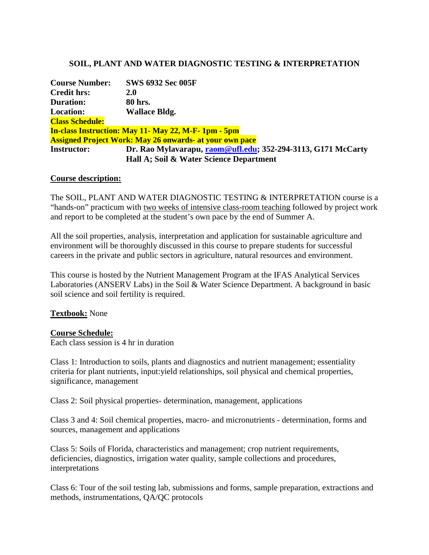## **SOIL, PLANT AND WATER DIAGNOSTIC TESTING & INTERPRETATION**

| <b>Course Number:</b>  | <b>SWS 6932 Sec 005F</b>                                       |
|------------------------|----------------------------------------------------------------|
| <b>Credit hrs:</b>     | <b>2.0</b>                                                     |
| <b>Duration:</b>       | 80 hrs.                                                        |
| <b>Location:</b>       | <b>Wallace Bldg.</b>                                           |
| <b>Class Schedule:</b> |                                                                |
|                        | <b>In-class Instruction: May 11- May 22, M-F-1pm - 5pm</b>     |
|                        | <b>Assigned Project Work: May 26 onwards- at your own pace</b> |
| <b>Instructor:</b>     | Dr. Rao Mylavarapu, raom@ufl.edu; 352-294-3113, G171 McCarty   |
|                        | Hall A; Soil & Water Science Department                        |

#### **Course description:**

The SOIL, PLANT AND WATER DIAGNOSTIC TESTING & INTERPRETATION course is a "hands-on" practicum with two weeks of intensive class-room teaching followed by project work and report to be completed at the student's own pace by the end of Summer A.

All the soil properties, analysis, interpretation and application for sustainable agriculture and environment will be thoroughly discussed in this course to prepare students for successful careers in the private and public sectors in agriculture, natural resources and environment.

This course is hosted by the Nutrient Management Program at the IFAS Analytical Services Laboratories (ANSERV Labs) in the Soil & Water Science Department. A background in basic soil science and soil fertility is required.

### **Textbook:** None

#### **Course Schedule:**

Each class session is 4 hr in duration

Class 1: Introduction to soils, plants and diagnostics and nutrient management; essentiality criteria for plant nutrients, input:yield relationships, soil physical and chemical properties, significance, management

Class 2: Soil physical properties- determination, management, applications

Class 3 and 4: Soil chemical properties, macro- and micronutrients - determination, forms and sources, management and applications

Class 5: Soils of Florida, characteristics and management; crop nutrient requirements, deficiencies, diagnostics, irrigation water quality, sample collections and procedures, interpretations

Class 6: Tour of the soil testing lab, submissions and forms, sample preparation, extractions and methods, instrumentations, QA/QC protocols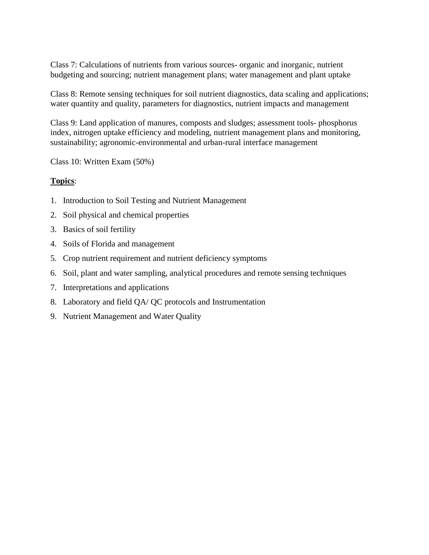Class 7: Calculations of nutrients from various sources- organic and inorganic, nutrient budgeting and sourcing; nutrient management plans; water management and plant uptake

Class 8: Remote sensing techniques for soil nutrient diagnostics, data scaling and applications; water quantity and quality, parameters for diagnostics, nutrient impacts and management

Class 9: Land application of manures, composts and sludges; assessment tools- phosphorus index, nitrogen uptake efficiency and modeling, nutrient management plans and monitoring, sustainability; agronomic-environmental and urban-rural interface management

Class 10: Written Exam (50%)

## **Topics**:

- 1. Introduction to Soil Testing and Nutrient Management
- 2. Soil physical and chemical properties
- 3. Basics of soil fertility
- 4. Soils of Florida and management
- 5. Crop nutrient requirement and nutrient deficiency symptoms
- 6. Soil, plant and water sampling, analytical procedures and remote sensing techniques
- 7. Interpretations and applications
- 8. Laboratory and field QA/ QC protocols and Instrumentation
- 9. Nutrient Management and Water Quality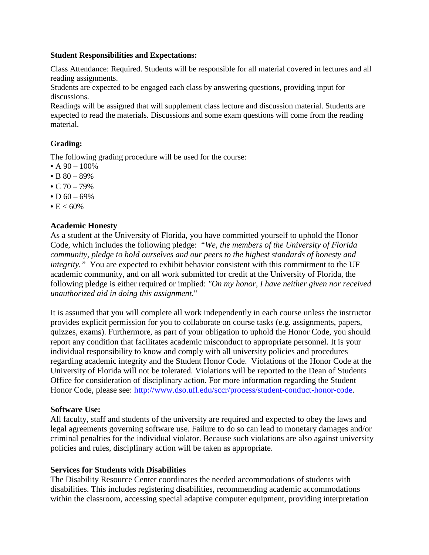#### **Student Responsibilities and Expectations:**

Class Attendance: Required. Students will be responsible for all material covered in lectures and all reading assignments.

Students are expected to be engaged each class by answering questions, providing input for discussions.

Readings will be assigned that will supplement class lecture and discussion material. Students are expected to read the materials. Discussions and some exam questions will come from the reading material.

## **Grading:**

The following grading procedure will be used for the course:

- A  $90 100\%$
- B  $80 89%$
- C  $70 79\%$
- D  $60 69\%$
- $E < 60\%$

## **Academic Honesty**

As a student at the University of Florida, you have committed yourself to uphold the Honor Code, which includes the following pledge: "*We, the members of the University of Florida community, pledge to hold ourselves and our peers to the highest standards of honesty and integrity."* You are expected to exhibit behavior consistent with this commitment to the UF academic community, and on all work submitted for credit at the University of Florida, the following pledge is either required or implied: *"On my honor, I have neither given nor received unauthorized aid in doing this assignment*."

It is assumed that you will complete all work independently in each course unless the instructor provides explicit permission for you to collaborate on course tasks (e.g. assignments, papers, quizzes, exams). Furthermore, as part of your obligation to uphold the Honor Code, you should report any condition that facilitates academic misconduct to appropriate personnel. It is your individual responsibility to know and comply with all university policies and procedures regarding academic integrity and the Student Honor Code. Violations of the Honor Code at the University of Florida will not be tolerated. Violations will be reported to the Dean of Students Office for consideration of disciplinary action. For more information regarding the Student Honor Code, please see: [http://www.dso.ufl.edu/sccr/process/student-conduct-honor-code.](http://www.dso.ufl.edu/sccr/process/student-conduct-honor-code)

### **Software Use:**

All faculty, staff and students of the university are required and expected to obey the laws and legal agreements governing software use. Failure to do so can lead to monetary damages and/or criminal penalties for the individual violator. Because such violations are also against university policies and rules, disciplinary action will be taken as appropriate.

### **Services for Students with Disabilities**

The Disability Resource Center coordinates the needed accommodations of students with disabilities. This includes registering disabilities, recommending academic accommodations within the classroom, accessing special adaptive computer equipment, providing interpretation